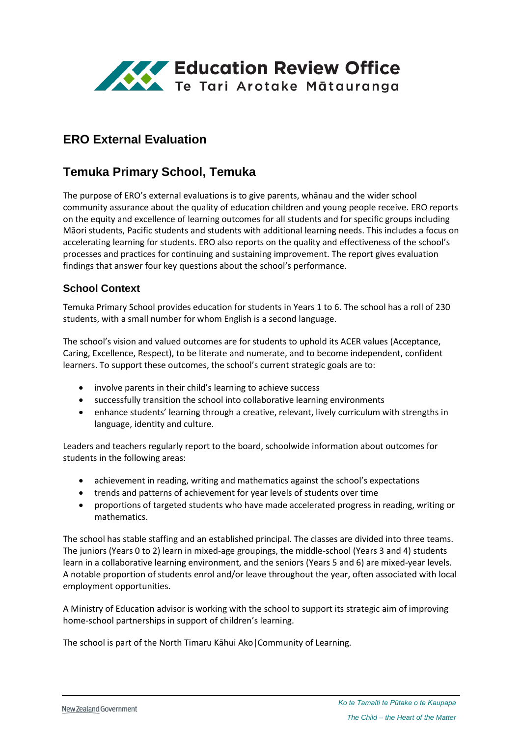

# **ERO External Evaluation**

# **Temuka Primary School, Temuka**

The purpose of ERO's external evaluations is to give parents, whānau and the wider school community assurance about the quality of education children and young people receive. ERO reports on the equity and excellence of learning outcomes for all students and for specific groups including Māori students, Pacific students and students with additional learning needs. This includes a focus on accelerating learning for students. ERO also reports on the quality and effectiveness of the school's processes and practices for continuing and sustaining improvement. The report gives evaluation findings that answer four key questions about the school's performance.

#### **School Context**

Temuka Primary School provides education for students in Years 1 to 6. The school has a roll of 230 students, with a small number for whom English is a second language.

The school's vision and valued outcomes are for students to uphold its ACER values (Acceptance, Caring, Excellence, Respect), to be literate and numerate, and to become independent, confident learners. To support these outcomes, the school's current strategic goals are to:

- involve parents in their child's learning to achieve success
- successfully transition the school into collaborative learning environments
- enhance students' learning through a creative, relevant, lively curriculum with strengths in language, identity and culture.

Leaders and teachers regularly report to the board, schoolwide information about outcomes for students in the following areas:

- achievement in reading, writing and mathematics against the school's expectations
- trends and patterns of achievement for year levels of students over time
- proportions of targeted students who have made accelerated progress in reading, writing or mathematics.

The school has stable staffing and an established principal. The classes are divided into three teams. The juniors (Years 0 to 2) learn in mixed-age groupings, the middle-school (Years 3 and 4) students learn in a collaborative learning environment, and the seniors (Years 5 and 6) are mixed-year levels. A notable proportion of students enrol and/or leave throughout the year, often associated with local employment opportunities.

A Ministry of Education advisor is working with the school to support its strategic aim of improving home-school partnerships in support of children's learning.

The school is part of the North Timaru Kāhui Ako|Community of Learning.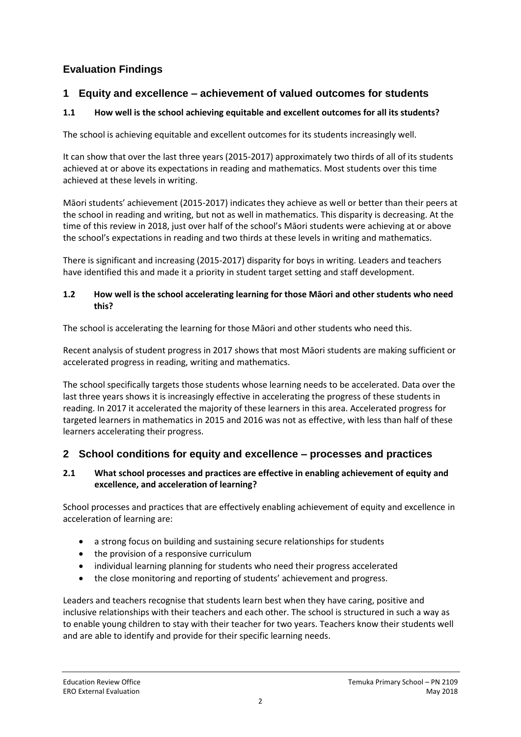# **Evaluation Findings**

### **1 Equity and excellence – achievement of valued outcomes for students**

### **1.1 How well is the school achieving equitable and excellent outcomes for all its students?**

The school is achieving equitable and excellent outcomes for its students increasingly well.

It can show that over the last three years (2015-2017) approximately two thirds of all of its students achieved at or above its expectations in reading and mathematics. Most students over this time achieved at these levels in writing.

Māori students' achievement (2015-2017) indicates they achieve as well or better than their peers at the school in reading and writing, but not as well in mathematics. This disparity is decreasing. At the time of this review in 2018, just over half of the school's Māori students were achieving at or above the school's expectations in reading and two thirds at these levels in writing and mathematics.

There is significant and increasing (2015-2017) disparity for boys in writing. Leaders and teachers have identified this and made it a priority in student target setting and staff development.

#### **1.2 How well is the school accelerating learning for those Māori and other students who need this?**

The school is accelerating the learning for those Māori and other students who need this.

Recent analysis of student progress in 2017 shows that most Māori students are making sufficient or accelerated progress in reading, writing and mathematics.

The school specifically targets those students whose learning needs to be accelerated. Data over the last three years shows it is increasingly effective in accelerating the progress of these students in reading. In 2017 it accelerated the majority of these learners in this area. Accelerated progress for targeted learners in mathematics in 2015 and 2016 was not as effective, with less than half of these learners accelerating their progress.

## **2 School conditions for equity and excellence – processes and practices**

#### **2.1 What school processes and practices are effective in enabling achievement of equity and excellence, and acceleration of learning?**

School processes and practices that are effectively enabling achievement of equity and excellence in acceleration of learning are:

- a strong focus on building and sustaining secure relationships for students
- the provision of a responsive curriculum
- individual learning planning for students who need their progress accelerated
- the close monitoring and reporting of students' achievement and progress.

Leaders and teachers recognise that students learn best when they have caring, positive and inclusive relationships with their teachers and each other. The school is structured in such a way as to enable young children to stay with their teacher for two years. Teachers know their students well and are able to identify and provide for their specific learning needs.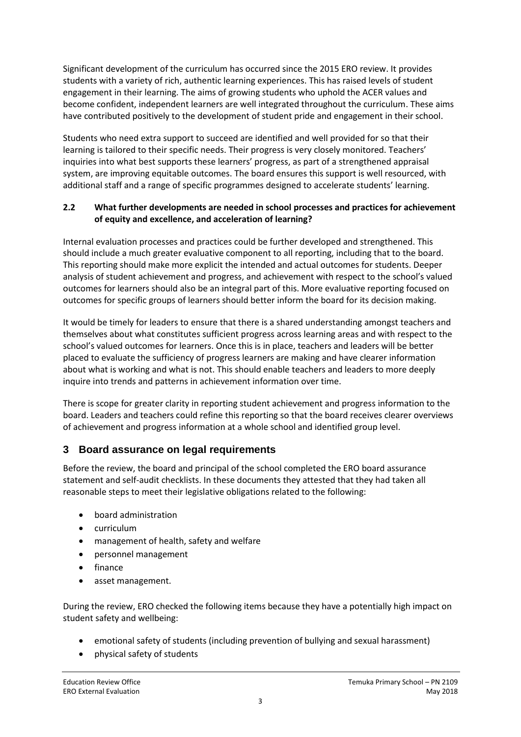Significant development of the curriculum has occurred since the 2015 ERO review. It provides students with a variety of rich, authentic learning experiences. This has raised levels of student engagement in their learning. The aims of growing students who uphold the ACER values and become confident, independent learners are well integrated throughout the curriculum. These aims have contributed positively to the development of student pride and engagement in their school.

Students who need extra support to succeed are identified and well provided for so that their learning is tailored to their specific needs. Their progress is very closely monitored. Teachers' inquiries into what best supports these learners' progress, as part of a strengthened appraisal system, are improving equitable outcomes. The board ensures this support is well resourced, with additional staff and a range of specific programmes designed to accelerate students' learning.

#### **2.2 What further developments are needed in school processes and practices for achievement of equity and excellence, and acceleration of learning?**

Internal evaluation processes and practices could be further developed and strengthened. This should include a much greater evaluative component to all reporting, including that to the board. This reporting should make more explicit the intended and actual outcomes for students. Deeper analysis of student achievement and progress, and achievement with respect to the school's valued outcomes for learners should also be an integral part of this. More evaluative reporting focused on outcomes for specific groups of learners should better inform the board for its decision making.

It would be timely for leaders to ensure that there is a shared understanding amongst teachers and themselves about what constitutes sufficient progress across learning areas and with respect to the school's valued outcomes for learners. Once this is in place, teachers and leaders will be better placed to evaluate the sufficiency of progress learners are making and have clearer information about what is working and what is not. This should enable teachers and leaders to more deeply inquire into trends and patterns in achievement information over time.

There is scope for greater clarity in reporting student achievement and progress information to the board. Leaders and teachers could refine this reporting so that the board receives clearer overviews of achievement and progress information at a whole school and identified group level.

## **3 Board assurance on legal requirements**

Before the review, the board and principal of the school completed the ERO board assurance statement and self-audit checklists. In these documents they attested that they had taken all reasonable steps to meet their legislative obligations related to the following:

- board administration
- curriculum
- management of health, safety and welfare
- personnel management
- finance
- asset management.

During the review, ERO checked the following items because they have a potentially high impact on student safety and wellbeing:

- emotional safety of students (including prevention of bullying and sexual harassment)
- physical safety of students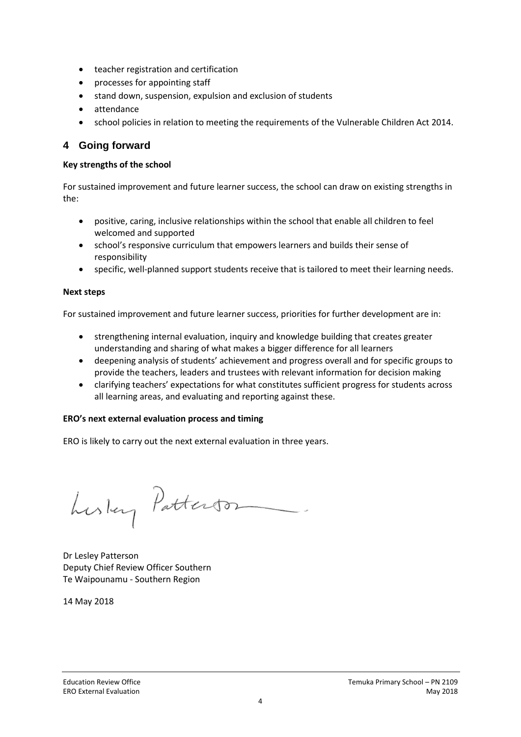- teacher registration and certification
- processes for appointing staff
- stand down, suspension, expulsion and exclusion of students
- attendance
- school policies in relation to meeting the requirements of the Vulnerable Children Act 2014.

### **4 Going forward**

#### **Key strengths of the school**

For sustained improvement and future learner success, the school can draw on existing strengths in the:

- positive, caring, inclusive relationships within the school that enable all children to feel welcomed and supported
- school's responsive curriculum that empowers learners and builds their sense of responsibility
- specific, well-planned support students receive that is tailored to meet their learning needs.

#### **Next steps**

For sustained improvement and future learner success, priorities for further development are in:

- strengthening internal evaluation, inquiry and knowledge building that creates greater understanding and sharing of what makes a bigger difference for all learners
- deepening analysis of students' achievement and progress overall and for specific groups to provide the teachers, leaders and trustees with relevant information for decision making
- clarifying teachers' expectations for what constitutes sufficient progress for students across all learning areas, and evaluating and reporting against these.

#### **ERO's next external evaluation process and timing**

ERO is likely to carry out the next external evaluation in three years.

Lustery Patterson

Dr Lesley Patterson Deputy Chief Review Officer Southern Te Waipounamu - Southern Region

14 May 2018